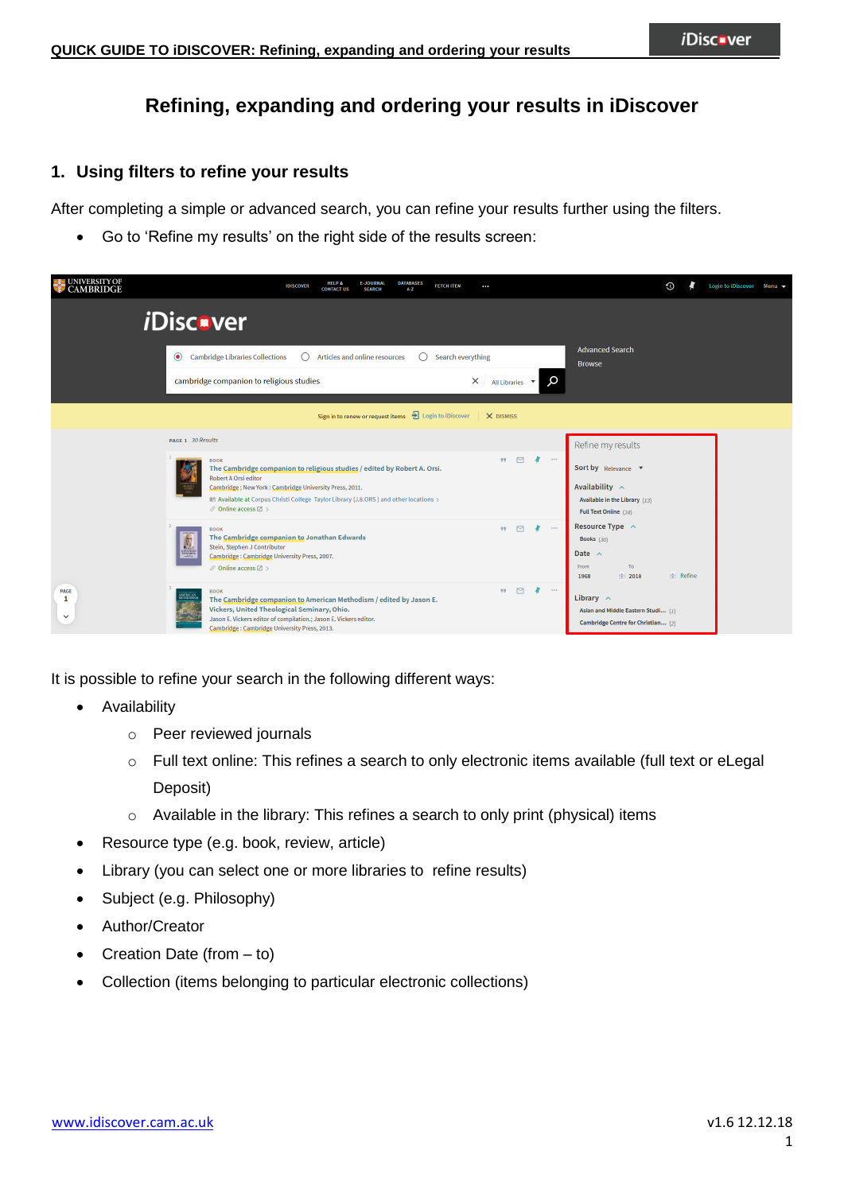# **Refining, expanding and ordering your results in iDiscover**

## **1. Using filters to refine your results**

After completing a simple or advanced search, you can refine your results further using the filters.

Go to 'Refine my results' on the right side of the results screen:

| <b>UNIVERSITY OF</b><br><b>CAMBRIDGE</b> | <b>DATABASES</b><br><b>HELP &amp;</b><br><b>E-JOURNAL</b><br><b>FETCH ITEM</b><br><b>IDISCOVER</b><br><br>$A - Z$<br><b>SEARCH</b><br><b>CONTACT US</b>                                                                                                                                                                                                                                                                                                             | $\odot$       | Login to iDiscover Menu ▼ |  |  |  |
|------------------------------------------|---------------------------------------------------------------------------------------------------------------------------------------------------------------------------------------------------------------------------------------------------------------------------------------------------------------------------------------------------------------------------------------------------------------------------------------------------------------------|---------------|---------------------------|--|--|--|
|                                          | <i>i</i> Disc <b></b> -ver                                                                                                                                                                                                                                                                                                                                                                                                                                          |               |                           |  |  |  |
|                                          | <b>Advanced Search</b><br>Cambridge Libraries Collections<br>Articles and online resources<br>Search everything<br>$\bullet$<br><b>Browse</b>                                                                                                                                                                                                                                                                                                                       |               |                           |  |  |  |
|                                          | Q<br>$\times$<br>cambridge companion to religious studies<br>All Libraries $\bullet$                                                                                                                                                                                                                                                                                                                                                                                |               |                           |  |  |  |
|                                          | Sign in to renew or request items $\frac{1}{2}$ Login to iDiscover<br>X DISMISS                                                                                                                                                                                                                                                                                                                                                                                     |               |                           |  |  |  |
|                                          | PAGE 1 30 Results<br>Refine my results                                                                                                                                                                                                                                                                                                                                                                                                                              |               |                           |  |  |  |
|                                          | $\triangleright$<br>99.<br>$-0.0.0$<br><b>BOOK</b><br>The Cambridge companion to religious studies / edited by Robert A. Orsi.<br>Sort by Relevance<br><b>Robert A Orsi editor</b><br>Availability $\sim$<br>Cambridge; New York: Cambridge University Press, 2011.<br>IL Available at Corpus Christi College Taylor Library (J.8.ORS ) and other locations ><br>Available in the Library (13)<br>$\mathcal O$ Online access $\boxtimes$ ><br>Full Text Online (24) |               |                           |  |  |  |
|                                          | Resource Type ^<br>$\triangleright$<br>$\cdots$<br>99<br><b>BOOK</b><br>The Cambridge companion to Jonathan Edwards<br>Books $(30)$<br>Stein, Stephen J Contributor<br>Date $\wedge$<br>Cambridge: Cambridge University Press, 2007.<br>To<br>From<br>$\mathcal O$ Online access $\boxtimes$ ><br>$\div$ 2018<br>1968                                                                                                                                               | $\div$ Refine |                           |  |  |  |
| <b>PAGE</b><br>1<br>$\checkmark$         | $\Pi$ $\square$<br>$\cdots$<br><b>BOOK</b><br>AMERICAN<br>Library $\sim$<br>The Cambridge companion to American Methodism / edited by Jason E.<br>Vickers, United Theological Seminary, Ohio.<br>Asian and Middle Eastern Studi (1)<br>Jason E. Vickers editor of compilation.; Jason E. Vickers editor.<br>Cambridge Centre for Christian (2)<br>Cambridge: Cambridge University Press, 2013.                                                                      |               |                           |  |  |  |

It is possible to refine your search in the following different ways:

- Availability
	- o Peer reviewed journals
	- o Full text online: This refines a search to only electronic items available (full text or eLegal Deposit)
	- o Available in the library: This refines a search to only print (physical) items
- Resource type (e.g. book, review, article)
- Library (you can select one or more libraries to refine results)
- Subject (e.g. Philosophy)
- Author/Creator
- Creation Date (from  $-$  to)
- Collection (items belonging to particular electronic collections)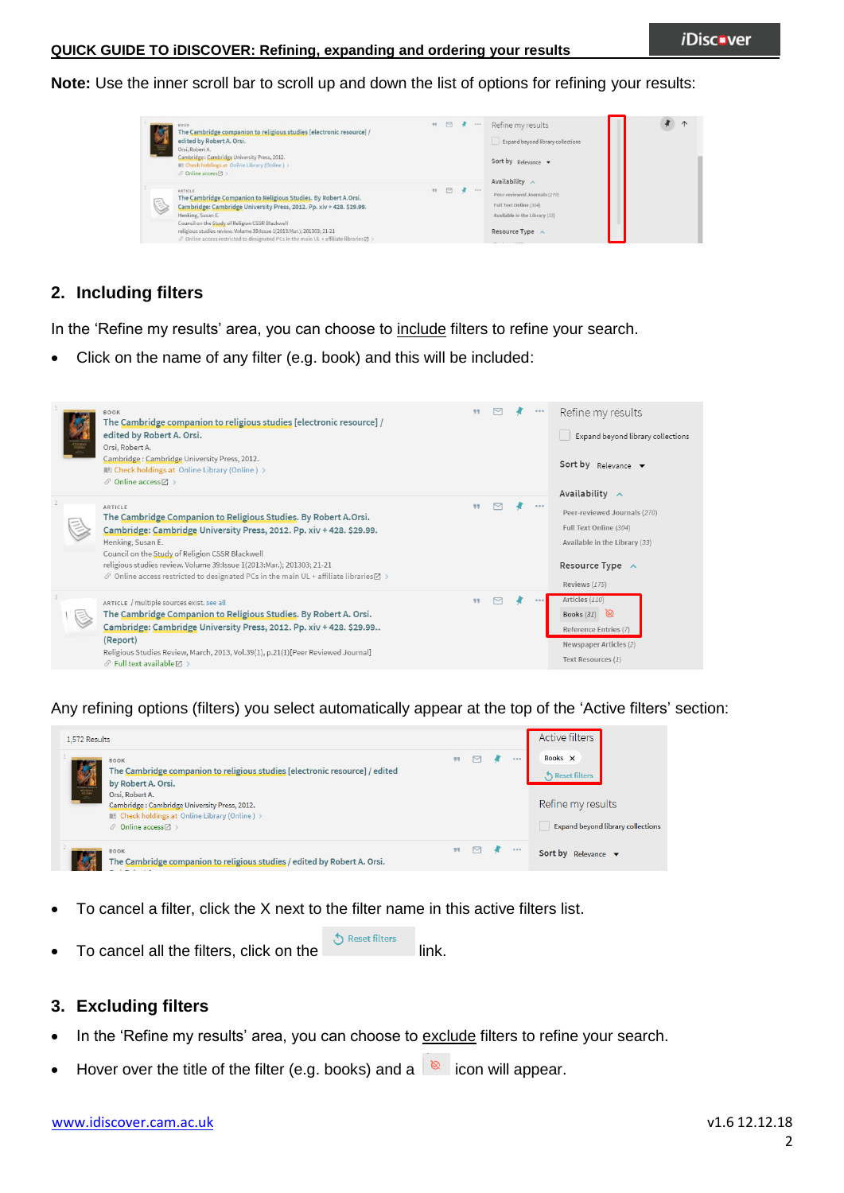#### **QUICK GUIDE TO iDISCOVER: Refining, expanding and ordering your results**

**Note:** Use the inner scroll bar to scroll up and down the list of options for refining your results:



## **2. Including filters**

In the 'Refine my results' area, you can choose to include filters to refine your search.

Click on the name of any filter (e.g. book) and this will be included:



Any refining options (filters) you select automatically appear at the top of the 'Active filters' section:



- To cancel a filter, click the X next to the filter name in this active filters list.
- Reset filters To cancel all the filters, click on the link.

### **3. Excluding filters**

- In the 'Refine my results' area, you can choose to exclude filters to refine your search.
- Hover over the title of the filter (e.g. books) and a  $\&$  icon will appear.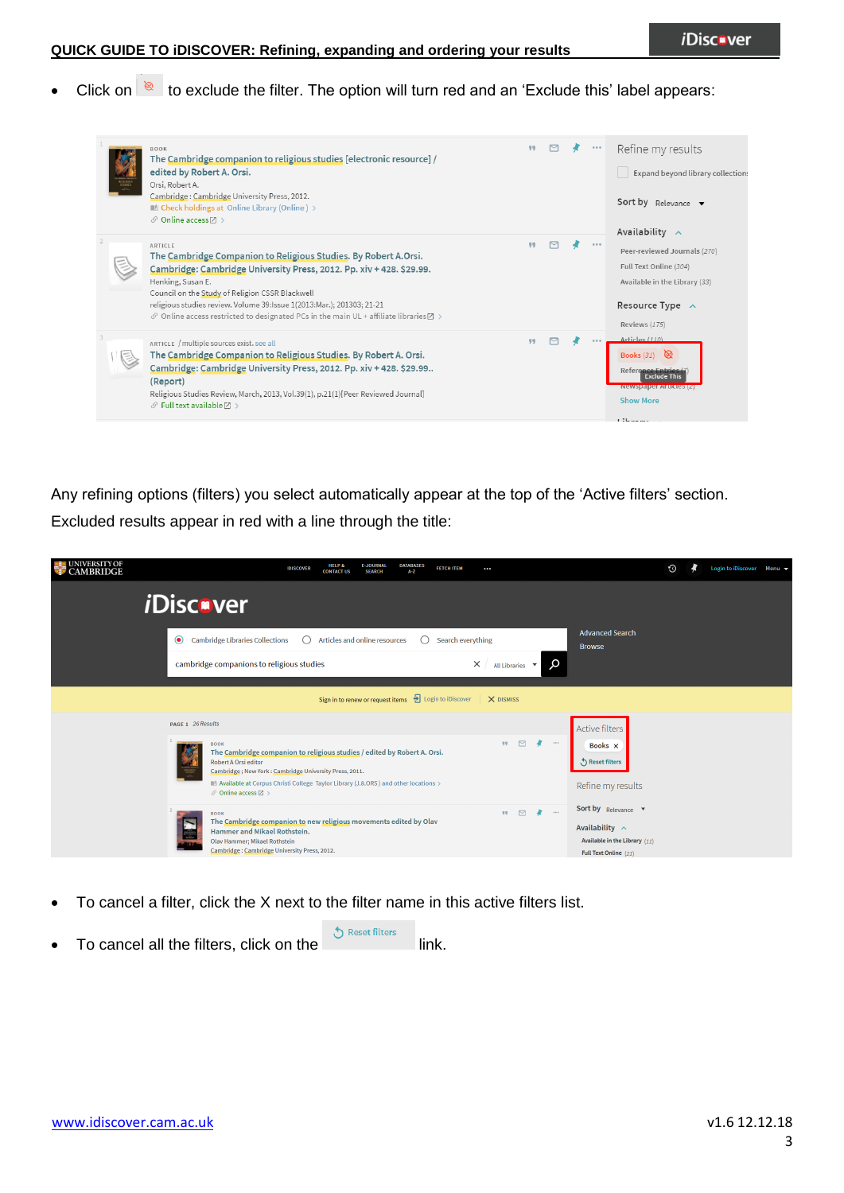Click on  $\overline{\otimes}$  to exclude the filter. The option will turn red and an 'Exclude this' label appears:



Any refining options (filters) you select automatically appear at the top of the 'Active filters' section. Excluded results appear in red with a line through the title:

| UNIVERSITY OF<br>CAMBRIDGE | <b>DATABASES</b><br><b>HELP &amp;</b><br><b>E-JOURNAL</b><br><b>FETCH ITEM</b><br><b>IDISCOVER</b><br>$\cdots$<br>$A - Z$<br><b>CONTACT US</b><br><b>SEARCH</b>                                                                                                                                                                                                                       | Login to iDiscover Menu ▼<br>$\odot$ |
|----------------------------|---------------------------------------------------------------------------------------------------------------------------------------------------------------------------------------------------------------------------------------------------------------------------------------------------------------------------------------------------------------------------------------|--------------------------------------|
|                            | <i><b>iDiscover</b></i>                                                                                                                                                                                                                                                                                                                                                               |                                      |
| $\odot$                    | <b>Advanced Search</b><br><b>Cambridge Libraries Collections</b><br>Articles and online resources<br>Search everything<br><b>Browse</b>                                                                                                                                                                                                                                               |                                      |
|                            | $\times$<br>O<br>cambridge companions to religious studies<br>All Libraries ▼                                                                                                                                                                                                                                                                                                         |                                      |
|                            | Sign in to renew or request items<br>Degin to iDiscover<br>X DISMISS                                                                                                                                                                                                                                                                                                                  |                                      |
|                            | PAGE 1 26 Results<br>Active filters                                                                                                                                                                                                                                                                                                                                                   |                                      |
|                            | $99 \quad \Box$<br>.<br><b>BOOK</b><br>Books X<br>The Cambridge companion to religious studies / edited by Robert A. Orsi.<br>Reset filters<br>Robert A Orsi editor<br>Cambridge; New York: Cambridge University Press, 2011.<br>Available at Corpus Christi College Taylor Library (J.8.ORS ) and other locations ><br>Refine my results<br>$\mathcal O$ Online access $\boxtimes$ > |                                      |
|                            | Sort by Relevance<br>$\triangleright$<br>$\cdots$<br>99<br><b>BOOK</b><br>The Cambridge companion to new religious movements edited by Olav<br>l,<br>Availability $\sim$<br>Hammer and Mikael Rothstein.<br>Available in the Library (11)<br>Olav Hammer; Mikael Rothstein<br>Cambridge: Cambridge University Press, 2012.<br>Full Text Online (21)                                   |                                      |

- To cancel a filter, click the X next to the filter name in this active filters list.
- To cancel all the filters, click on the link.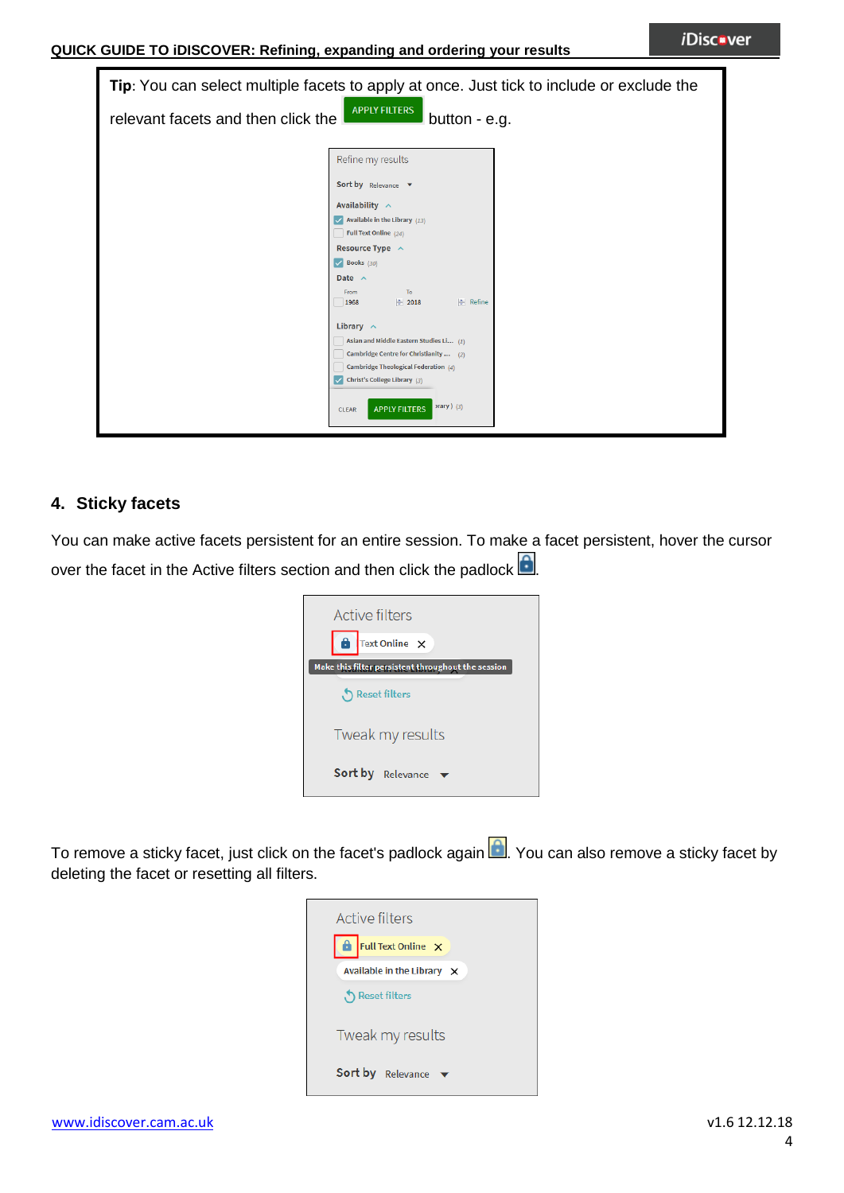| Tip: You can select multiple facets to apply at once. Just tick to include or exclude the |                                                                                                                                                                                                                                                                                                                                                                                                                                                                                                   |  |  |  |  |  |  |  |
|-------------------------------------------------------------------------------------------|---------------------------------------------------------------------------------------------------------------------------------------------------------------------------------------------------------------------------------------------------------------------------------------------------------------------------------------------------------------------------------------------------------------------------------------------------------------------------------------------------|--|--|--|--|--|--|--|
| <b>APPLY FILTERS</b><br>relevant facets and then click the<br>button - e.g.               |                                                                                                                                                                                                                                                                                                                                                                                                                                                                                                   |  |  |  |  |  |  |  |
|                                                                                           | Refine my results<br>Sort by Relevance v<br>Availability $\sim$<br>$\sqrt{ }$ Available in the Library (13)<br>Full Text Online (24)<br>Resource Type $\sim$<br>$\vee$ Books (30)<br>Date $\wedge$<br>To<br>From<br><b>A</b> Refine<br>$\div$ 2018<br>1968<br>Library $\sim$<br>Asian and Middle Eastern Studies Li (1)<br>Cambridge Centre for Christianity  (2)<br>Cambridge Theological Federation (4)<br>Christ's College Library (3)<br>$array)$ (3)<br><b>APPLY FILTERS</b><br><b>CLEAR</b> |  |  |  |  |  |  |  |

## **4. Sticky facets**

You can make active facets persistent for an entire session. To make a facet persistent, hover the cursor over the facet in the Active filters section and then click the padlock  $\Box$ 



To remove a sticky facet, just click on the facet's padlock again **.** You can also remove a sticky facet by deleting the facet or resetting all filters.

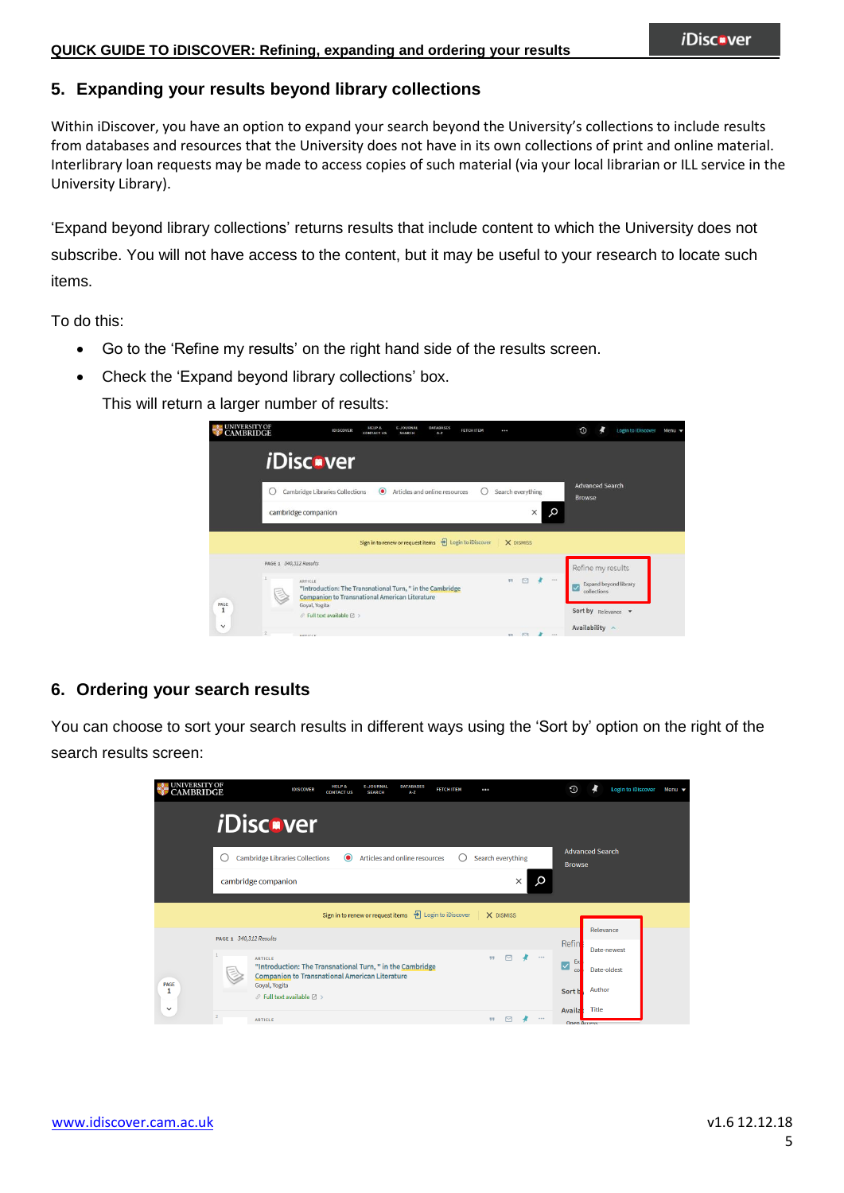## **5. Expanding your results beyond library collections**

Within iDiscover, you have an option to expand your search beyond the University's collections to include results from databases and resources that the University does not have in its own collections of print and online material. Interlibrary loan requests may be made to access copies of such material (via your local librarian or ILL service in the University Library).

'Expand beyond library collections' returns results that include content to which the University does not subscribe. You will not have access to the content, but it may be useful to your research to locate such items.

To do this:

- Go to the 'Refine my results' on the right hand side of the results screen.
- Check the 'Expand beyond library collections' box.

This will return a larger number of results:

| UNIVERSITY OF<br>CAMBRIDGE | <b>IDISCOVER</b>                                                                                                                                                                                                                  | <b>HELP &amp;</b><br><b>CONTACT US</b> | <b>E-JOURNAL</b><br><b>SEARCH</b> | <b>DATABASES</b><br>$A - Z$   | <b>FETCH ITEM</b>                                                 | $\cdots$          |               | $\odot$                                                                          |  | <b>Login to iDiscover</b> | Menu $\blacktriangledown$ |
|----------------------------|-----------------------------------------------------------------------------------------------------------------------------------------------------------------------------------------------------------------------------------|----------------------------------------|-----------------------------------|-------------------------------|-------------------------------------------------------------------|-------------------|---------------|----------------------------------------------------------------------------------|--|---------------------------|---------------------------|
|                            | <i><b>iDisc</b></i> ver                                                                                                                                                                                                           |                                        |                                   |                               |                                                                   |                   |               |                                                                                  |  |                           |                           |
|                            | Cambridge Libraries Collections<br>cambridge companion                                                                                                                                                                            | $\circledcirc$                         |                                   | Articles and online resources |                                                                   | Search everything | Q<br>$\times$ | <b>Advanced Search</b><br><b>Browse</b>                                          |  |                           |                           |
|                            |                                                                                                                                                                                                                                   |                                        |                                   |                               | Sign in to renew or request items <sup>1</sup> Login to iDiscover | X DISMISS         |               |                                                                                  |  |                           |                           |
| PAGE<br>1                  | PAGE 1 340,312 Results<br><b>ARTICLE</b><br>"Introduction: The Transnational Turn, " in the Cambridge<br><b>Companion to Transnational American Literature</b><br>Goyal, Yogita<br>$\mathcal O$ Full text available $\boxtimes$ > |                                        |                                   |                               |                                                                   | $\Box$<br>33.     | $\rightarrow$ | Refine my results<br>Expand beyond library<br>collections<br>Sort by Relevance v |  |                           |                           |
| $\checkmark$               | <b>SETICLE</b>                                                                                                                                                                                                                    |                                        |                                   |                               |                                                                   | 12.77             | ×<br>1000     | Availability $\wedge$                                                            |  |                           |                           |

## **6. Ordering your search results**

You can choose to sort your search results in different ways using the 'Sort by' option on the right of the search results screen:

| <b>UNIVERSITY OF</b><br><b>CAMBRIDGE</b> |                                                                                                         | <b>HELP &amp;</b><br><b>IDISCOVER</b><br><b>CONTACT US</b> | <b>E-JOURNAL</b><br><b>SEARCH</b>                                                                                  | <b>DATABASES</b><br>$A - Z$ | <b>FETCH ITEM</b>    | $\cdots$                                |               | O                   | <b>Login to iDiscover</b>                                                                      | Menu v |  |  |  |  |
|------------------------------------------|---------------------------------------------------------------------------------------------------------|------------------------------------------------------------|--------------------------------------------------------------------------------------------------------------------|-----------------------------|----------------------|-----------------------------------------|---------------|---------------------|------------------------------------------------------------------------------------------------|--------|--|--|--|--|
|                                          | <i><b>iDiscover</b></i>                                                                                 |                                                            |                                                                                                                    |                             |                      |                                         |               |                     |                                                                                                |        |  |  |  |  |
|                                          | <b>Cambridge Libraries Collections</b><br>Articles and online resources<br>Search everything<br>$\odot$ |                                                            |                                                                                                                    |                             |                      | <b>Advanced Search</b><br><b>Browse</b> |               |                     |                                                                                                |        |  |  |  |  |
|                                          | cambridge companion                                                                                     |                                                            |                                                                                                                    |                             |                      |                                         | ×             |                     |                                                                                                |        |  |  |  |  |
|                                          |                                                                                                         |                                                            | Sign in to renew or request items                                                                                  |                             | + Login to iDiscover | X DISMISS                               |               |                     |                                                                                                |        |  |  |  |  |
|                                          | PAGE 1 340,312 Results                                                                                  |                                                            |                                                                                                                    |                             |                      |                                         |               | Refin               | Relevance                                                                                      |        |  |  |  |  |
| PAGE<br>$\checkmark$                     | <b>ARTICLE</b><br>Goyal, Yogita                                                                         |                                                            | "Introduction: The Transnational Turn, " in the Cambridge<br><b>Companion to Transnational American Literature</b> |                             |                      | $\triangleright$<br>99                  | ×<br>$\cdots$ | Ex<br>☑<br>$\infty$ | Date-newest<br>Date-oldest<br>Author<br>Sort b<br><b>Title</b><br>Availa<br><b>Open Arress</b> |        |  |  |  |  |
|                                          | $\mathcal O$ Full text available $\boxtimes$ ><br><b>ARTICLE</b>                                        |                                                            |                                                                                                                    |                             |                      | 99<br>罓                                 |               |                     |                                                                                                |        |  |  |  |  |